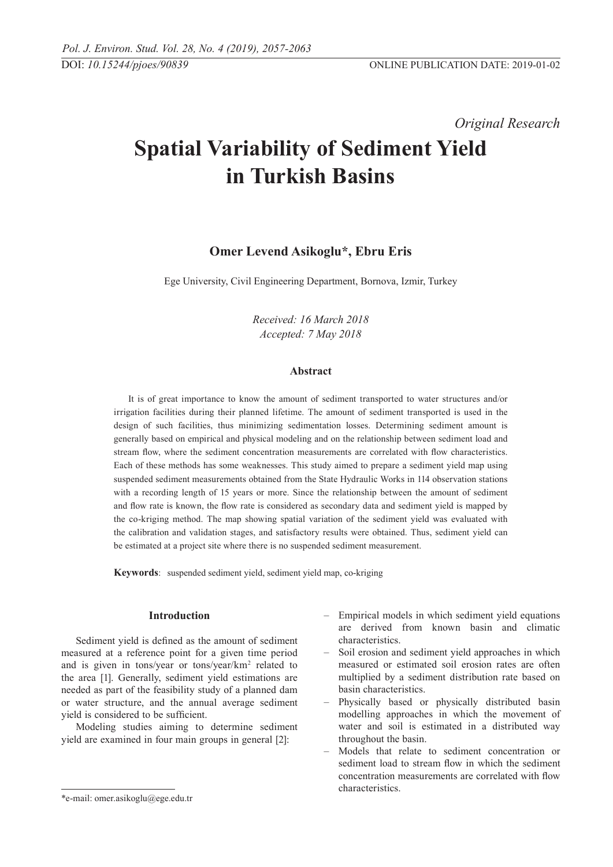*Original Research* 

# **Spatial Variability of Sediment Yield in Turkish Basins**

# **Omer Levend Asikoglu\*, Ebru Eris**

Ege University, Civil Engineering Department, Bornova, Izmir, Turkey

*Received: 16 March 2018 Accepted: 7 May 2018*

## **Abstract**

It is of great importance to know the amount of sediment transported to water structures and/or irrigation facilities during their planned lifetime. The amount of sediment transported is used in the design of such facilities, thus minimizing sedimentation losses. Determining sediment amount is generally based on empirical and physical modeling and on the relationship between sediment load and stream flow, where the sediment concentration measurements are correlated with flow characteristics. Each of these methods has some weaknesses. This study aimed to prepare a sediment yield map using suspended sediment measurements obtained from the State Hydraulic Works in 114 observation stations with a recording length of 15 years or more. Since the relationship between the amount of sediment and flow rate is known, the flow rate is considered as secondary data and sediment yield is mapped by the co-kriging method. The map showing spatial variation of the sediment yield was evaluated with the calibration and validation stages, and satisfactory results were obtained. Thus, sediment yield can be estimated at a project site where there is no suspended sediment measurement.

**Keywords**: suspended sediment yield, sediment yield map, co-kriging

# **Introduction**

Sediment yield is defined as the amount of sediment measured at a reference point for a given time period and is given in tons/year or tons/year/km2 related to the area [1]. Generally, sediment yield estimations are needed as part of the feasibility study of a planned dam or water structure, and the annual average sediment yield is considered to be sufficient.

Modeling studies aiming to determine sediment yield are examined in four main groups in general [2]:

- Soil erosion and sediment yield approaches in which measured or estimated soil erosion rates are often multiplied by a sediment distribution rate based on basin characteristics.
- Physically based or physically distributed basin modelling approaches in which the movement of water and soil is estimated in a distributed way throughout the basin.
- Models that relate to sediment concentration or sediment load to stream flow in which the sediment concentration measurements are correlated with flow characteristics.

<sup>–</sup> Empirical models in which sediment yield equations are derived from known basin and climatic characteristics.

<sup>\*</sup>e-mail: omer.asikoglu@ege.edu.tr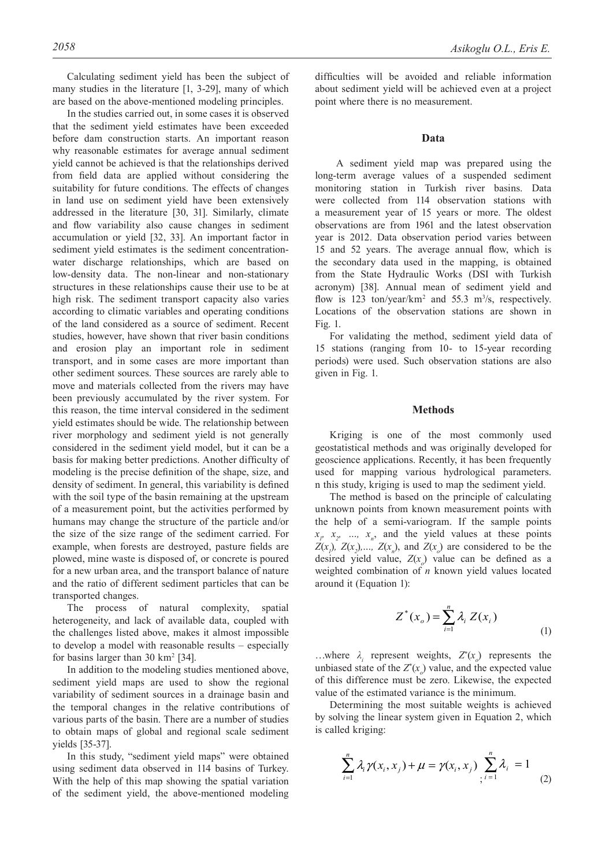Calculating sediment yield has been the subject of many studies in the literature [1, 3-29], many of which are based on the above-mentioned modeling principles.

In the studies carried out, in some cases it is observed that the sediment yield estimates have been exceeded before dam construction starts. An important reason why reasonable estimates for average annual sediment yield cannot be achieved is that the relationships derived from field data are applied without considering the suitability for future conditions. The effects of changes in land use on sediment yield have been extensively addressed in the literature [30, 31]. Similarly, climate and flow variability also cause changes in sediment accumulation or yield [32, 33]. An important factor in sediment yield estimates is the sediment concentrationwater discharge relationships, which are based on low-density data. The non-linear and non-stationary structures in these relationships cause their use to be at high risk. The sediment transport capacity also varies according to climatic variables and operating conditions of the land considered as a source of sediment. Recent studies, however, have shown that river basin conditions and erosion play an important role in sediment transport, and in some cases are more important than other sediment sources. These sources are rarely able to move and materials collected from the rivers may have been previously accumulated by the river system. For this reason, the time interval considered in the sediment yield estimates should be wide. The relationship between river morphology and sediment yield is not generally considered in the sediment yield model, but it can be a basis for making better predictions. Another difficulty of modeling is the precise definition of the shape, size, and density of sediment. In general, this variability is defined with the soil type of the basin remaining at the upstream of a measurement point, but the activities performed by humans may change the structure of the particle and/or the size of the size range of the sediment carried. For example, when forests are destroyed, pasture fields are plowed, mine waste is disposed of, or concrete is poured for a new urban area, and the transport balance of nature and the ratio of different sediment particles that can be transported changes.

The process of natural complexity, spatial heterogeneity, and lack of available data, coupled with the challenges listed above, makes it almost impossible to develop a model with reasonable results – especially for basins larger than  $30 \text{ km}^2$  [34].

In addition to the modeling studies mentioned above, sediment yield maps are used to show the regional variability of sediment sources in a drainage basin and the temporal changes in the relative contributions of various parts of the basin. There are a number of studies to obtain maps of global and regional scale sediment yields [35-37].

In this study, "sediment yield maps" were obtained using sediment data observed in 114 basins of Turkey. With the help of this map showing the spatial variation of the sediment yield, the above-mentioned modeling difficulties will be avoided and reliable information about sediment yield will be achieved even at a project point where there is no measurement.

#### **Data**

 A sediment yield map was prepared using the long-term average values of a suspended sediment monitoring station in Turkish river basins. Data were collected from 114 observation stations with a measurement year of 15 years or more. The oldest observations are from 1961 and the latest observation year is 2012. Data observation period varies between 15 and 52 years. The average annual flow, which is the secondary data used in the mapping, is obtained from the State Hydraulic Works (DSI with Turkish acronym) [38]. Annual mean of sediment yield and flow is 123 ton/year/km<sup>2</sup> and 55.3 m<sup>3</sup>/s, respectively. Locations of the observation stations are shown in Fig. 1.

For validating the method, sediment yield data of 15 stations (ranging from 10- to 15-year recording periods) were used. Such observation stations are also given in Fig. 1.

### **Methods**

Kriging is one of the most commonly used geostatistical methods and was originally developed for geoscience applications. Recently, it has been frequently used for mapping various hydrological parameters. n this study, kriging is used to map the sediment yield.

The method is based on the principle of calculating unknown points from known measurement points with the help of a semi-variogram. If the sample points  $x_p$ ,  $x_p$ , ...,  $x_n$ , and the yield values at these points *Z*(*x<sub>1</sub>*), *Z*(*x<sub>2</sub>*),..., *Z*(*x<sub>n</sub>*), and *Z*(*x<sub>0</sub>*) are considered to be the desired yield value,  $Z(x_0)$  value can be defined as a weighted combination of *n* known yield values located around it (Equation 1):

$$
Z^*(x_o) = \sum_{i=1}^n \lambda_i Z(x_i)
$$
\n(1)

...where  $\lambda_i$  represent weights,  $Z^*(x_o)$  represents the unbiased state of the  $Z^*(x)$  value, and the expected value of this difference must be zero. Likewise, the expected value of the estimated variance is the minimum.

Determining the most suitable weights is achieved by solving the linear system given in Equation 2, which is called kriging:

$$
\sum_{i=1}^n \lambda_i \gamma(x_i, x_j) + \mu = \gamma(x_i, x_j) \sum_{j=1}^n \lambda_j = 1 \tag{2}
$$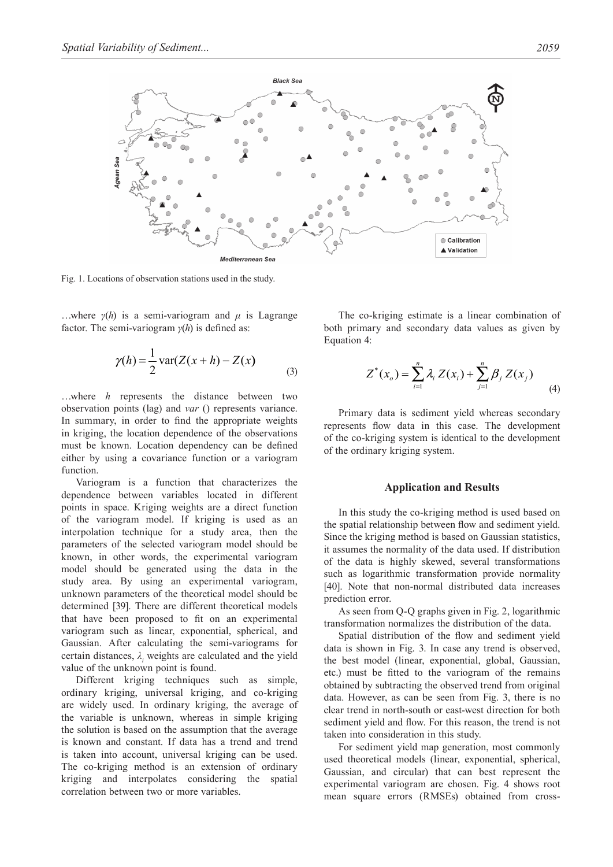

Fig. 1. Locations of observation stations used in the study.

...where  $\gamma(h)$  is a semi-variogram and  $\mu$  is Lagrange factor. The semi-variogram *γ*(*h*) is defined as:

$$
\gamma(h) = \frac{1}{2} \operatorname{var}(Z(x+h) - Z(x)) \tag{3}
$$

…where *h* represents the distance between two observation points (lag) and *var* () represents variance. In summary, in order to find the appropriate weights in kriging, the location dependence of the observations must be known. Location dependency can be defined either by using a covariance function or a variogram function.

Variogram is a function that characterizes the dependence between variables located in different points in space. Kriging weights are a direct function of the variogram model. If kriging is used as an interpolation technique for a study area, then the parameters of the selected variogram model should be known, in other words, the experimental variogram model should be generated using the data in the study area. By using an experimental variogram, unknown parameters of the theoretical model should be determined [39]. There are different theoretical models that have been proposed to fit on an experimental variogram such as linear, exponential, spherical, and Gaussian. After calculating the semi-variograms for certain distances,  $\lambda_i$  weights are calculated and the yield value of the unknown point is found.

Different kriging techniques such as simple, ordinary kriging, universal kriging, and co-kriging are widely used. In ordinary kriging, the average of the variable is unknown, whereas in simple kriging the solution is based on the assumption that the average is known and constant. If data has a trend and trend is taken into account, universal kriging can be used. The co-kriging method is an extension of ordinary kriging and interpolates considering the spatial correlation between two or more variables.

The co-kriging estimate is a linear combination of both primary and secondary data values as given by Equation 4:

$$
Z^*(x_o) = \sum_{i=1}^n \lambda_i Z(x_i) + \sum_{j=1}^n \beta_j Z(x_j)
$$
 (4)

Primary data is sediment yield whereas secondary represents flow data in this case. The development of the co-kriging system is identical to the development of the ordinary kriging system.

#### **Application and Results**

In this study the co-kriging method is used based on the spatial relationship between flow and sediment yield. Since the kriging method is based on Gaussian statistics, it assumes the normality of the data used. If distribution of the data is highly skewed, several transformations such as logarithmic transformation provide normality [40]. Note that non-normal distributed data increases prediction error.

As seen from Q-Q graphs given in Fig. 2, logarithmic transformation normalizes the distribution of the data.

Spatial distribution of the flow and sediment yield data is shown in Fig. 3. In case any trend is observed, the best model (linear, exponential, global, Gaussian, etc.) must be fitted to the variogram of the remains obtained by subtracting the observed trend from original data. However, as can be seen from Fig. 3, there is no clear trend in north-south or east-west direction for both sediment yield and flow. For this reason, the trend is not taken into consideration in this study.

For sediment yield map generation, most commonly used theoretical models (linear, exponential, spherical, Gaussian, and circular) that can best represent the experimental variogram are chosen. Fig. 4 shows root mean square errors (RMSEs) obtained from cross-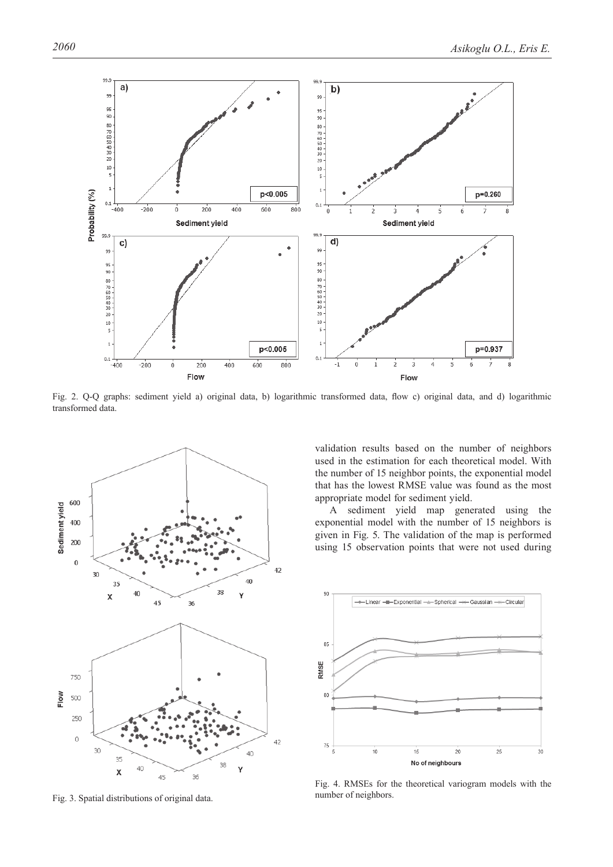

Fig. 2. Q-Q graphs: sediment yield a) original data, b) logarithmic transformed data, flow c) original data, and d) logarithmic transformed data.



Fig. 3. Spatial distributions of original data.

validation results based on the number of neighbors used in the estimation for each theoretical model. With the number of 15 neighbor points, the exponential model that has the lowest RMSE value was found as the most appropriate model for sediment yield.

A sediment yield map generated using the exponential model with the number of 15 neighbors is given in Fig. 5. The validation of the map is performed using 15 observation points that were not used during



Fig. 4. RMSEs for the theoretical variogram models with the number of neighbors.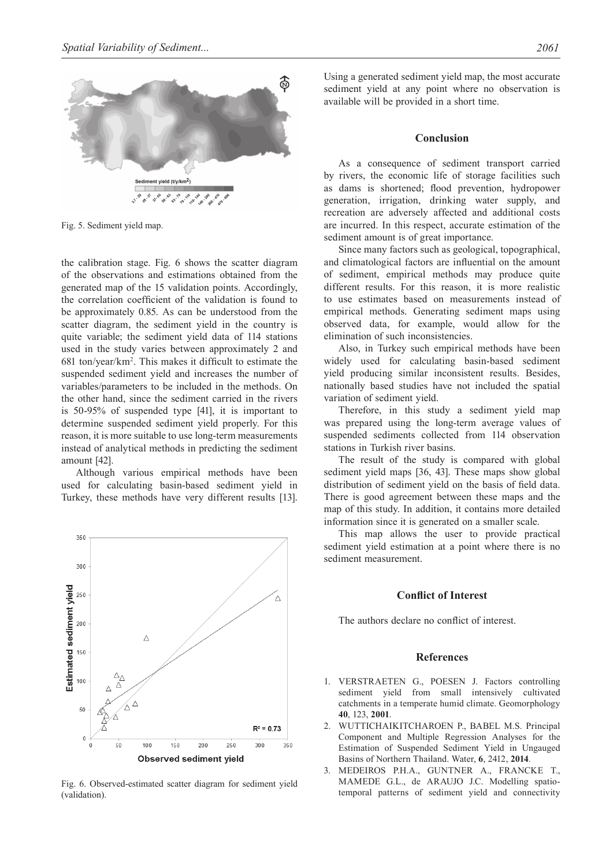

Fig. 5. Sediment yield map.

the calibration stage. Fig. 6 shows the scatter diagram of the observations and estimations obtained from the generated map of the 15 validation points. Accordingly, the correlation coefficient of the validation is found to be approximately 0.85. As can be understood from the scatter diagram, the sediment yield in the country is quite variable; the sediment yield data of 114 stations used in the study varies between approximately 2 and 681 ton/year/km2 . This makes it difficult to estimate the suspended sediment yield and increases the number of variables/parameters to be included in the methods. On the other hand, since the sediment carried in the rivers is 50-95% of suspended type [41], it is important to determine suspended sediment yield properly. For this reason, it is more suitable to use long-term measurements instead of analytical methods in predicting the sediment amount [42].

Although various empirical methods have been used for calculating basin-based sediment yield in Turkey, these methods have very different results [13].



Fig. 6. Observed-estimated scatter diagram for sediment yield (validation).

Using a generated sediment yield map, the most accurate sediment yield at any point where no observation is available will be provided in a short time.

#### **Conclusion**

As a consequence of sediment transport carried by rivers, the economic life of storage facilities such as dams is shortened; flood prevention, hydropower generation, irrigation, drinking water supply, and recreation are adversely affected and additional costs are incurred. In this respect, accurate estimation of the sediment amount is of great importance.

Since many factors such as geological, topographical, and climatological factors are influential on the amount of sediment, empirical methods may produce quite different results. For this reason, it is more realistic to use estimates based on measurements instead of empirical methods. Generating sediment maps using observed data, for example, would allow for the elimination of such inconsistencies.

Also, in Turkey such empirical methods have been widely used for calculating basin-based sediment yield producing similar inconsistent results. Besides, nationally based studies have not included the spatial variation of sediment yield.

Therefore, in this study a sediment yield map was prepared using the long-term average values of suspended sediments collected from 114 observation stations in Turkish river basins.

The result of the study is compared with global sediment yield maps [36, 43]. These maps show global distribution of sediment yield on the basis of field data. There is good agreement between these maps and the map of this study. In addition, it contains more detailed information since it is generated on a smaller scale.

This map allows the user to provide practical sediment yield estimation at a point where there is no sediment measurement.

## **Conflict of Interest**

The authors declare no conflict of interest.

#### **References**

- 1. VERSTRAETEN G., POESEN J. Factors controlling sediment yield from small intensively cultivated catchments in a temperate humid climate. Geomorphology **40**, 123, **2001**.
- 2. WUTTICHAIKITCHAROEN P., BABEL M.S. Principal Component and Multiple Regression Analyses for the Estimation of Suspended Sediment Yield in Ungauged Basins of Northern Thailand. Water, **6**, 2412, **2014**.
- 3. MEDEIROS P.H.A., GUNTNER A., FRANCKE T., MAMEDE G.L., de ARAUJO J.C. Modelling spatiotemporal patterns of sediment yield and connectivity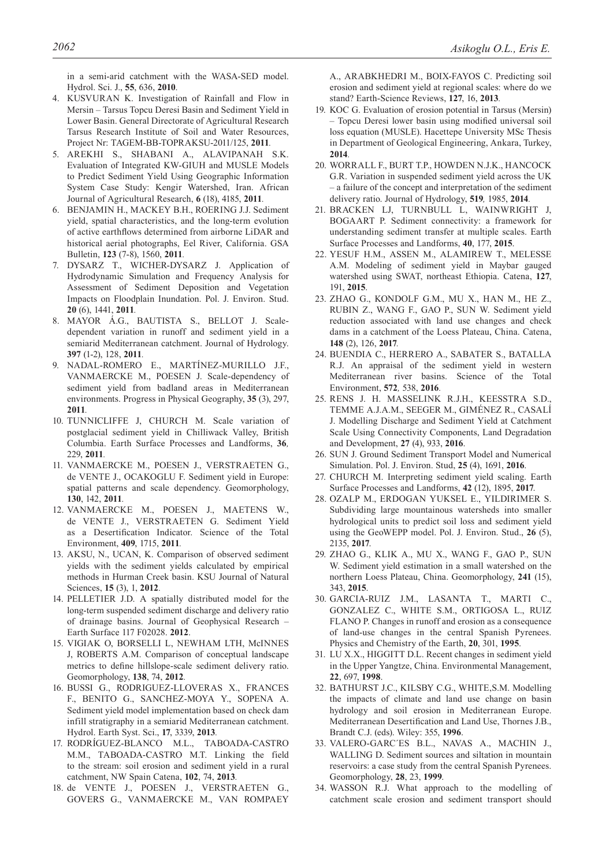in a semi-arid catchment with the WASA-SED model. Hydrol. Sci. J., **55**, 636, **2010**.

- 4. KUSVURAN K. Investigation of Rainfall and Flow in Mersin – Tarsus Topcu Deresi Basin and Sediment Yield in Lower Basin. General Directorate of Agricultural Research Tarsus Research Institute of Soil and Water Resources, Project Nr: TAGEM-BB-TOPRAKSU-2011/125, **2011***.*
- 5. AREKHI S., SHABANI A., ALAVIPANAH S.K. Evaluation of Integrated KW-GIUH and MUSLE Models to Predict Sediment Yield Using Geographic Information System Case Study: Kengir Watershed, Iran. African Journal of Agricultural Research, **6** (18), 4185, **2011***.*
- 6. BENJAMIN H., MACKEY B.H., ROERING J.J. Sediment yield, spatial characteristics, and the long-term evolution of active earthflows determined from airborne LiDAR and historical aerial photographs, Eel River, California. GSA Bulletin, **123** (7-8), 1560, **2011***.*
- 7. DYSARZ T., WICHER-DYSARZ J. Application of Hydrodynamic Simulation and Frequency Analysis for Assessment of Sediment Deposition and Vegetation Impacts on Floodplain Inundation. Pol. J. Environ. Stud. **20** (6), 1441, **2011***.*
- 8. MAYOR Á.G., BAUTISTA S., BELLOT J. Scaledependent variation in runoff and sediment yield in a semiarid Mediterranean catchment. Journal of Hydrology. **397** (1-2), 128, **2011***.*
- 9. NADAL-ROMERO E., MARTÍNEZ-MURILLO J.F., VANMAERCKE M., POESEN J. Scale-dependency of sediment yield from badland areas in Mediterranean environments. Progress in Physical Geography, **35** (3), 297, **2011***.*
- 10. TUNNICLIFFE J, CHURCH M. Scale variation of postglacial sediment yield in Chilliwack Valley, British Columbia. Earth Surface Processes and Landforms, **36***,*  229, **2011***.*
- 11. VANMAERCKE M., POESEN J., VERSTRAETEN G., de VENTE J., OCAKOGLU F. Sediment yield in Europe: spatial patterns and scale dependency. Geomorphology, **130**, 142, **2011***.*
- 12. VANMAERCKE M., POESEN J., MAETENS W., de VENTE J., VERSTRAETEN G. Sediment Yield as a Desertification Indicator. Science of the Total Environment, **409**, 1715, **2011***.*
- 13. AKSU, N., UCAN, K. Comparison of observed sediment yields with the sediment yields calculated by empirical methods in Hurman Creek basin. KSU Journal of Natural Sciences, **15** (3), 1, **2012***.*
- 14. PELLETIER J.D. A spatially distributed model for the long-term suspended sediment discharge and delivery ratio of drainage basins. Journal of Geophysical Research – Earth Surface 117 F02028. **2012**.
- 15. VIGIAK O, BORSELLI L, NEWHAM LTH, McINNES J, ROBERTS A.M. Comparison of conceptual landscape metrics to define hillslope-scale sediment delivery ratio. Geomorphology, **138**, 74, **2012***.*
- 16. BUSSI G., RODRIGUEZ-LLOVERAS X., FRANCES F., BENITO G., SANCHEZ-MOYA Y., SOPENA A. Sediment yield model implementation based on check dam infill stratigraphy in a semiarid Mediterranean catchment. Hydrol. Earth Syst. Sci., **17**, 3339, **2013***.*
- 17. RODRÍGUEZ-BLANCO M.L., TABOADA-CASTRO M.M., TABOADA-CASTRO M.T. Linking the field to the stream: soil erosion and sediment yield in a rural catchment, NW Spain Catena, **102**, 74, **2013***.*
- 18. de VENTE J., POESEN J., VERSTRAETEN G., GOVERS G., VANMAERCKE M., VAN ROMPAEY

A., ARABKHEDRI M., BOIX-FAYOS C. Predicting soil erosion and sediment yield at regional scales: where do we stand? Earth-Science Reviews, **127**, 16, **2013***.*

- 19. KOC G. Evaluation of erosion potential in Tarsus (Mersin) – Topcu Deresi lower basin using modified universal soil loss equation (MUSLE). Hacettepe University MSc Thesis in Department of Geological Engineering, Ankara, Turkey, **2014***.*
- 20. WORRALL F., BURT T.P., HOWDEN N.J.K., HANCOCK G.R. Variation in suspended sediment yield across the UK – a failure of the concept and interpretation of the sediment delivery ratio. Journal of Hydrology, **519***,* 1985, **2014***.*
- 21. BRACKEN LJ, TURNBULL L, WAINWRIGHT J, BOGAART P. Sediment connectivity: a framework for understanding sediment transfer at multiple scales. Earth Surface Processes and Landforms, **40**, 177, **2015**.
- 22. YESUF H.M., ASSEN M., ALAMIREW T., MELESSE A.M. Modeling of sediment yield in Maybar gauged watershed using SWAT, northeast Ethiopia. Catena, **127**, 191, **2015**.
- 23. ZHAO G., KONDOLF G.M., MU X., HAN M., HE Z., RUBIN Z., WANG F., GAO P., SUN W. Sediment yield reduction associated with land use changes and check dams in a catchment of the Loess Plateau, China. Catena, **148** (2), 126, **2017***.*
- 24. BUENDIA C., HERRERO A., SABATER S., BATALLA R.J. An appraisal of the sediment yield in western Mediterranean river basins. Science of the Total Environment, **572***,* 538, **2016***.*
- 25. RENS J. H. MASSELINK R.J.H., KEESSTRA S.D., TEMME A.J.A.M., SEEGER M., GIMÉNEZ R., CASALÍ J. Modelling Discharge and Sediment Yield at Catchment Scale Using Connectivity Components, Land Degradation and Development, **27** (4), 933, **2016**.
- 26. SUN J. Ground Sediment Transport Model and Numerical Simulation. Pol. J. Environ. Stud, **25** (4), 1691, **2016**.
- 27. CHURCH M. Interpreting sediment yield scaling. Earth Surface Processes and Landforms, **42** (12), 1895, **2017**.
- 28. OZALP M., ERDOGAN YUKSEL E., YILDIRIMER S. Subdividing large mountainous watersheds into smaller hydrological units to predict soil loss and sediment yield using the GeoWEPP model. Pol. J. Environ. Stud., **26** (5), 2135, **2017**.
- 29. ZHAO G., KLIK A., MU X., WANG F., GAO P., SUN W. Sediment yield estimation in a small watershed on the northern Loess Plateau, China. Geomorphology, **241** (15), 343, **2015**.
- 30. GARCIA-RUIZ J.M., LASANTA T., MARTI C., GONZALEZ C., WHITE S.M., ORTIGOSA L., RUIZ FLANO P. Changes in runoff and erosion as a consequence of land-use changes in the central Spanish Pyrenees. Physics and Chemistry of the Earth, **20**, 301, **1995**.
- 31. LU X.X., HIGGITT D.L. Recent changes in sediment yield in the Upper Yangtze, China. Environmental Management, **22**, 697, **1998**.
- 32. BATHURST J.C., KILSBY C.G., WHITE,S.M. Modelling the impacts of climate and land use change on basin hydrology and soil erosion in Mediterranean Europe. Mediterranean Desertification and Land Use, Thornes J.B., Brandt C.J. (eds). Wiley: 355, **1996**.
- 33. VALERO-GARC´ES B.L., NAVAS A., MACHIN J., WALLING D. Sediment sources and siltation in mountain reservoirs: a case study from the central Spanish Pyrenees. Geomorphology, **28**, 23, **1999**.
- 34. WASSON R.J. What approach to the modelling of catchment scale erosion and sediment transport should